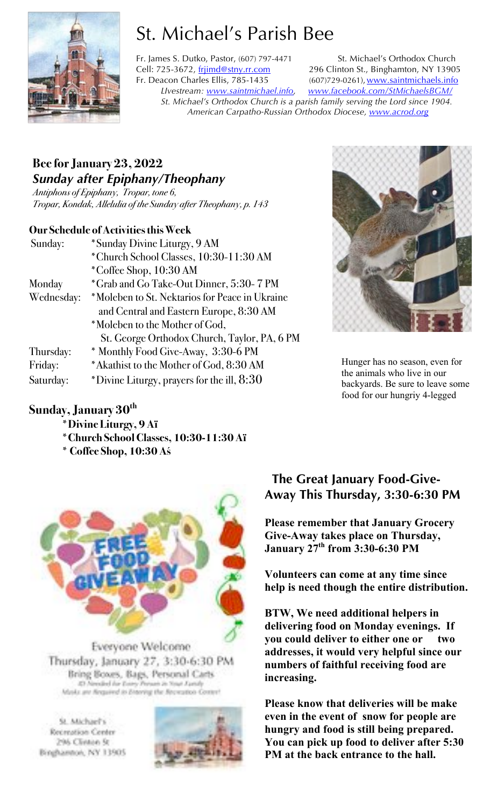

# St. Michael's Parish Bee

Fr. James S. Dutko, Pastor, (607) 797-4471 St. Michael's Orthodox Church Cell: 725-3672, frijimd@stny.rr.com 296 Clinton St., Binghamton, NY 13905 Fr. Deacon Charles Ellis, 785-1435 (607)729-0261), www.saintmichaels.info *LIvestream: www.saintmichael.info, www.facebook.com/StMichaelsBGM/ St. Michael's Orthodox Church is a parish family serving the Lord since 1904. American Carpatho-Russian Orthodox Diocese, www.acrod.org*

# **Bee for January 23, 2022** *Sunday after Epiphany/Theophany*

*Antiphons of Epiphany, Tropar, tone 6, Tropar, Kondak, Allelulia of the Sunday after Theophany, p. 143*

### **Our Schedule of Activities this Week**

| Sunday:    | *Sunday Divine Liturgy, 9 AM                   |
|------------|------------------------------------------------|
|            | *Church School Classes, 10:30-11:30 AM         |
|            | *Coffee Shop, 10:30 AM                         |
| Monday     | *Grab and Go Take-Out Dinner, 5:30-7 PM        |
| Wednesday: | *Moleben to St. Nektarios for Peace in Ukraine |
|            | and Central and Eastern Europe, 8:30 AM        |
|            | *Moleben to the Mother of God,                 |
|            | St. George Orthodox Church, Taylor, PA, 6 PM   |
| Thursday:  | * Monthly Food Give-Away, 3:30-6 PM            |
| Friday:    | *Akathist to the Mother of God, 8:30 AM        |
| Saturday:  | *Divine Liturgy, prayers for the ill, $8:30$   |

### **Sunday, January 30th**

**\*Divine Liturgy, 9 Aï**

- **\*Church School Classes, 10:30-11:30 Aï**
- **\* Coffee Shop, 10:30 Aś**



Everyone Welcome Thursday, January 27, 3:30-6:30 PM Bring Boxes, Bags, Personal Carts 42 Needed for Every Person in Your Avenly Masks are flequived in Entering the Recycation Center!

St. Michael's Recreation Center 296 Clinton St Binghamton, NY 13905





Hunger has no season, even for the animals who live in our backyards. Be sure to leave some food for our hungriy 4-legged

## **The Great January Food-Give-Away This Thursday, 3:30-6:30 PM**

**Please remember that January Grocery Give-Away takes place on Thursday, January 27th from 3:30-6:30 PM**

**Volunteers can come at any time since help is need though the entire distribution.** 

**BTW, We need additional helpers in delivering food on Monday evenings. If you could deliver to either one or two addresses, it would very helpful since our numbers of faithful receiving food are increasing.** 

**Please know that deliveries will be make even in the event of snow for people are hungry and food is still being prepared. You can pick up food to deliver after 5:30 PM at the back entrance to the hall.**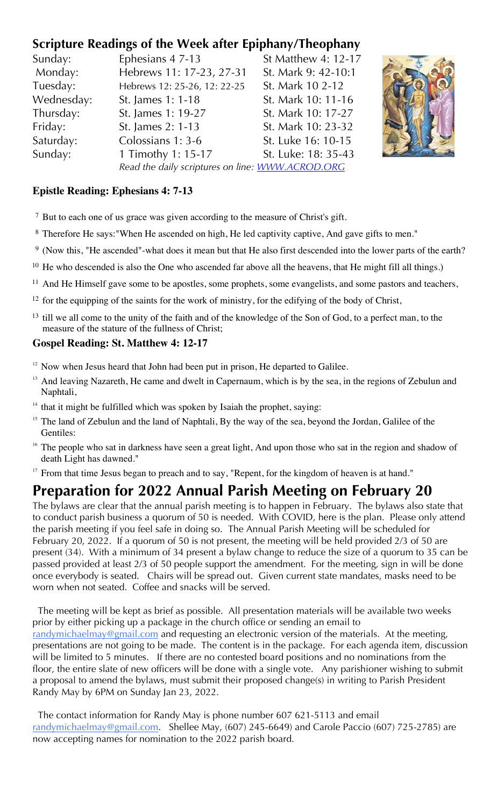# **Scripture Readings of the Week after Epiphany/Theophany**

| Sunday:    | Ephesians 4 7-13                                 | St Matthew 4: 12-17 |
|------------|--------------------------------------------------|---------------------|
| Monday:    | Hebrews 11: 17-23, 27-31                         | St. Mark 9: 42-10:1 |
| Tuesday:   | Hebrews 12: 25-26, 12: 22-25                     | St. Mark 10 2-12    |
| Wednesday: | St. James 1: 1-18                                | St. Mark 10: 11-16  |
| Thursday:  | St. James 1: 19-27                               | St. Mark 10: 17-27  |
| Friday:    | St. James 2: 1-13                                | St. Mark 10: 23-32  |
| Saturday:  | Colossians 1: 3-6                                | St. Luke 16: 10-15  |
| Sunday:    | 1 Timothy 1: 15-17                               | St. Luke: 18: 35-43 |
|            | Read the daily scriptures on line: WWW.ACROD.ORG |                     |



### **Epistle Reading: Ephesians 4: 7-13**

- <sup>7</sup> But to each one of us grace was given according to the measure of Christ's gift.
- <sup>8</sup> Therefore He says:"When He ascended on high, He led captivity captive, And gave gifts to men."
- <sup>9</sup> (Now this, "He ascended"-what does it mean but that He also first descended into the lower parts of the earth?
- <sup>10</sup> He who descended is also the One who ascended far above all the heavens, that He might fill all things.)
- <sup>11</sup> And He Himself gave some to be apostles, some prophets, some evangelists, and some pastors and teachers,
- $12$  for the equipping of the saints for the work of ministry, for the edifying of the body of Christ,
- <sup>13</sup> till we all come to the unity of the faith and of the knowledge of the Son of God, to a perfect man, to the measure of the stature of the fullness of Christ;

#### **Gospel Reading: St. Matthew 4: 12-17**

- $12$  Now when Jesus heard that John had been put in prison, He departed to Galilee.
- <sup>13</sup> And leaving Nazareth, He came and dwelt in Capernaum, which is by the sea, in the regions of Zebulun and Naphtali,
- $14$  that it might be fulfilled which was spoken by Isaiah the prophet, saying:
- <sup>15</sup> The land of Zebulun and the land of Naphtali, By the way of the sea, beyond the Jordan, Galilee of the Gentiles:
- <sup>16</sup> The people who sat in darkness have seen a great light, And upon those who sat in the region and shadow of death Light has dawned."
- <sup>17</sup> From that time Jesus began to preach and to say, "Repent, for the kingdom of heaven is at hand."

# **Preparation for 2022 Annual Parish Meeting on February 20**

The bylaws are clear that the annual parish meeting is to happen in February. The bylaws also state that to conduct parish business a quorum of 50 is needed. With COVID, here is the plan. Please only attend the parish meeting if you feel safe in doing so. The Annual Parish Meeting will be scheduled for February 20, 2022. If a quorum of 50 is not present, the meeting will be held provided 2/3 of 50 are present (34). With a minimum of 34 present a bylaw change to reduce the size of a quorum to 35 can be passed provided at least 2/3 of 50 people support the amendment. For the meeting, sign in will be done once everybody is seated. Chairs will be spread out. Given current state mandates, masks need to be worn when not seated. Coffee and snacks will be served.

 The meeting will be kept as brief as possible. All presentation materials will be available two weeks prior by either picking up a package in the church office or sending an email to randymichaelmay@gmail.com and requesting an electronic version of the materials. At the meeting, presentations are not going to be made. The content is in the package. For each agenda item, discussion will be limited to 5 minutes. If there are no contested board positions and no nominations from the floor, the entire slate of new officers will be done with a single vote. Any parishioner wishing to submit a proposal to amend the bylaws, must submit their proposed change(s) in writing to Parish President Randy May by 6PM on Sunday Jan 23, 2022.

 The contact information for Randy May is phone number 607 621-5113 and email randymichaelmay@gmail.com. Shellee May, (607) 245-6649) and Carole Paccio (607) 725-2785) are now accepting names for nomination to the 2022 parish board.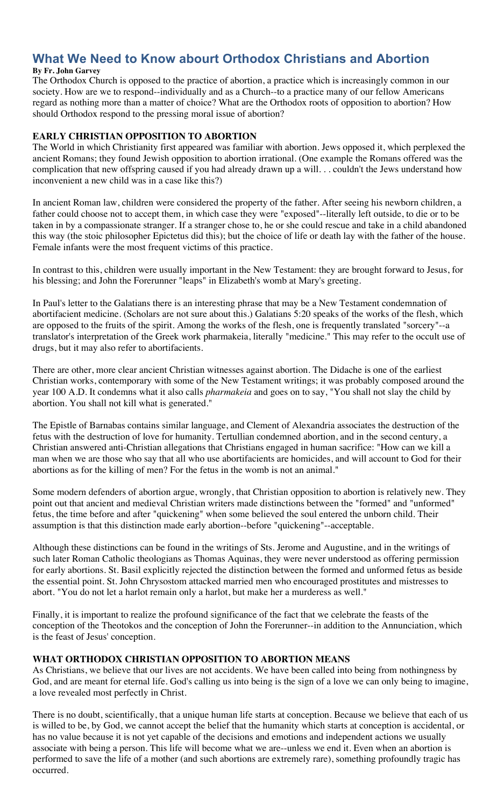# **What We Need to Know abourt Orthodox Christians and Abortion**

#### **By Fr. John Garvey**

The Orthodox Church is opposed to the practice of abortion, a practice which is increasingly common in our society. How are we to respond--individually and as a Church--to a practice many of our fellow Americans regard as nothing more than a matter of choice? What are the Orthodox roots of opposition to abortion? How should Orthodox respond to the pressing moral issue of abortion?

#### **EARLY CHRISTIAN OPPOSITION TO ABORTION**

The World in which Christianity first appeared was familiar with abortion. Jews opposed it, which perplexed the ancient Romans; they found Jewish opposition to abortion irrational. (One example the Romans offered was the complication that new offspring caused if you had already drawn up a will. . . couldn't the Jews understand how inconvenient a new child was in a case like this?)

In ancient Roman law, children were considered the property of the father. After seeing his newborn children, a father could choose not to accept them, in which case they were "exposed"--literally left outside, to die or to be taken in by a compassionate stranger. If a stranger chose to, he or she could rescue and take in a child abandoned this way (the stoic philosopher Epictetus did this); but the choice of life or death lay with the father of the house. Female infants were the most frequent victims of this practice.

In contrast to this, children were usually important in the New Testament: they are brought forward to Jesus, for his blessing; and John the Forerunner "leaps" in Elizabeth's womb at Mary's greeting.

In Paul's letter to the Galatians there is an interesting phrase that may be a New Testament condemnation of abortifacient medicine. (Scholars are not sure about this.) Galatians 5:20 speaks of the works of the flesh, which are opposed to the fruits of the spirit. Among the works of the flesh, one is frequently translated "sorcery"--a translator's interpretation of the Greek work pharmakeia, literally "medicine." This may refer to the occult use of drugs, but it may also refer to abortifacients.

There are other, more clear ancient Christian witnesses against abortion. The Didache is one of the earliest Christian works, contemporary with some of the New Testament writings; it was probably composed around the year 100 A.D. It condemns what it also calls *pharmakeia* and goes on to say, "You shall not slay the child by abortion. You shall not kill what is generated."

The Epistle of Barnabas contains similar language, and Clement of Alexandria associates the destruction of the fetus with the destruction of love for humanity. Tertullian condemned abortion, and in the second century, a Christian answered anti-Christian allegations that Christians engaged in human sacrifice: "How can we kill a man when we are those who say that all who use abortifacients are homicides, and will account to God for their abortions as for the killing of men? For the fetus in the womb is not an animal."

Some modern defenders of abortion argue, wrongly, that Christian opposition to abortion is relatively new. They point out that ancient and medieval Christian writers made distinctions between the "formed" and "unformed" fetus, the time before and after "quickening" when some believed the soul entered the unborn child. Their assumption is that this distinction made early abortion--before "quickening"--acceptable.

Although these distinctions can be found in the writings of Sts. Jerome and Augustine, and in the writings of such later Roman Catholic theologians as Thomas Aquinas, they were never understood as offering permission for early abortions. St. Basil explicitly rejected the distinction between the formed and unformed fetus as beside the essential point. St. John Chrysostom attacked married men who encouraged prostitutes and mistresses to abort. "You do not let a harlot remain only a harlot, but make her a murderess as well."

Finally, it is important to realize the profound significance of the fact that we celebrate the feasts of the conception of the Theotokos and the conception of John the Forerunner--in addition to the Annunciation, which is the feast of Jesus' conception.

#### **WHAT ORTHODOX CHRISTIAN OPPOSITION TO ABORTION MEANS**

As Christians, we believe that our lives are not accidents. We have been called into being from nothingness by God, and are meant for eternal life. God's calling us into being is the sign of a love we can only being to imagine, a love revealed most perfectly in Christ.

There is no doubt, scientifically, that a unique human life starts at conception. Because we believe that each of us is willed to be, by God, we cannot accept the belief that the humanity which starts at conception is accidental, or has no value because it is not yet capable of the decisions and emotions and independent actions we usually associate with being a person. This life will become what we are--unless we end it. Even when an abortion is performed to save the life of a mother (and such abortions are extremely rare), something profoundly tragic has occurred.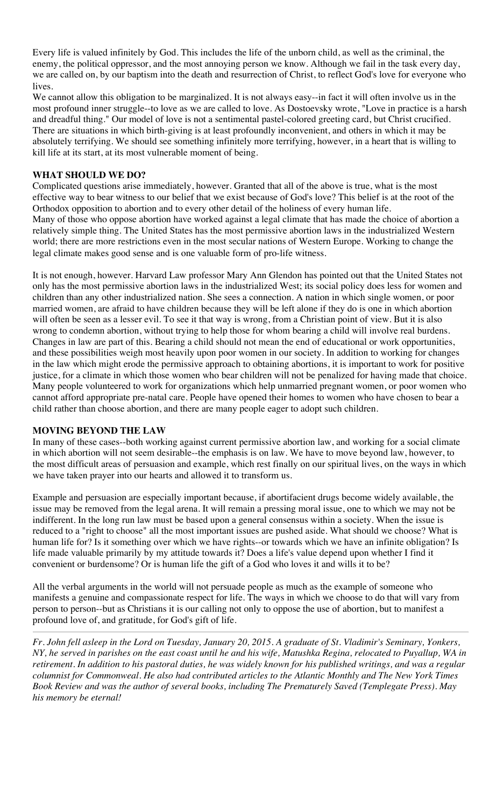Every life is valued infinitely by God. This includes the life of the unborn child, as well as the criminal, the enemy, the political oppressor, and the most annoying person we know. Although we fail in the task every day, we are called on, by our baptism into the death and resurrection of Christ, to reflect God's love for everyone who lives.

We cannot allow this obligation to be marginalized. It is not always easy--in fact it will often involve us in the most profound inner struggle--to love as we are called to love. As Dostoevsky wrote, "Love in practice is a harsh and dreadful thing." Our model of love is not a sentimental pastel-colored greeting card, but Christ crucified. There are situations in which birth-giving is at least profoundly inconvenient, and others in which it may be absolutely terrifying. We should see something infinitely more terrifying, however, in a heart that is willing to kill life at its start, at its most vulnerable moment of being.

#### **WHAT SHOULD WE DO?**

Complicated questions arise immediately, however. Granted that all of the above is true, what is the most effective way to bear witness to our belief that we exist because of God's love? This belief is at the root of the Orthodox opposition to abortion and to every other detail of the holiness of every human life. Many of those who oppose abortion have worked against a legal climate that has made the choice of abortion a relatively simple thing. The United States has the most permissive abortion laws in the industrialized Western world; there are more restrictions even in the most secular nations of Western Europe. Working to change the legal climate makes good sense and is one valuable form of pro-life witness.

It is not enough, however. Harvard Law professor Mary Ann Glendon has pointed out that the United States not only has the most permissive abortion laws in the industrialized West; its social policy does less for women and children than any other industrialized nation. She sees a connection. A nation in which single women, or poor married women, are afraid to have children because they will be left alone if they do is one in which abortion will often be seen as a lesser evil. To see it that way is wrong, from a Christian point of view. But it is also wrong to condemn abortion, without trying to help those for whom bearing a child will involve real burdens. Changes in law are part of this. Bearing a child should not mean the end of educational or work opportunities, and these possibilities weigh most heavily upon poor women in our society. In addition to working for changes in the law which might erode the permissive approach to obtaining abortions, it is important to work for positive justice, for a climate in which those women who bear children will not be penalized for having made that choice. Many people volunteered to work for organizations which help unmarried pregnant women, or poor women who cannot afford appropriate pre-natal care. People have opened their homes to women who have chosen to bear a child rather than choose abortion, and there are many people eager to adopt such children.

#### **MOVING BEYOND THE LAW**

In many of these cases--both working against current permissive abortion law, and working for a social climate in which abortion will not seem desirable--the emphasis is on law. We have to move beyond law, however, to the most difficult areas of persuasion and example, which rest finally on our spiritual lives, on the ways in which we have taken prayer into our hearts and allowed it to transform us.

Example and persuasion are especially important because, if abortifacient drugs become widely available, the issue may be removed from the legal arena. It will remain a pressing moral issue, one to which we may not be indifferent. In the long run law must be based upon a general consensus within a society. When the issue is reduced to a "right to choose" all the most important issues are pushed aside. What should we choose? What is human life for? Is it something over which we have rights--or towards which we have an infinite obligation? Is life made valuable primarily by my attitude towards it? Does a life's value depend upon whether I find it convenient or burdensome? Or is human life the gift of a God who loves it and wills it to be?

All the verbal arguments in the world will not persuade people as much as the example of someone who manifests a genuine and compassionate respect for life. The ways in which we choose to do that will vary from person to person--but as Christians it is our calling not only to oppose the use of abortion, but to manifest a profound love of, and gratitude, for God's gift of life.

*Fr. John fell asleep in the Lord on Tuesday, January 20, 2015. A graduate of St. Vladimir's Seminary, Yonkers, NY, he served in parishes on the east coast until he and his wife, Matushka Regina, relocated to Puyallup, WA in*  retirement. In addition to his pastoral duties, he was widely known for his published writings, and was a regular *columnist for Commonweal. He also had contributed articles to the Atlantic Monthly and The New York Times Book Review and was the author of several books, including The Prematurely Saved (Templegate Press). May his memory be eternal!*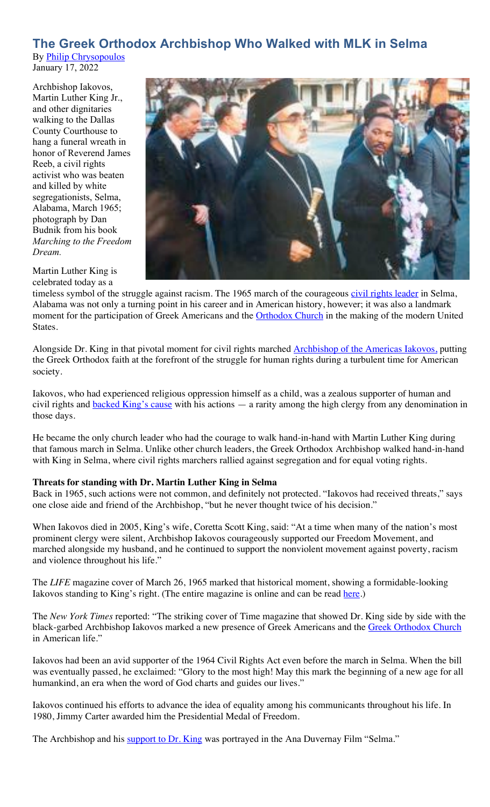#### **The Greek Orthodox Archbishop Who Walked with MLK in Selma** By Philip Chrysopoulos

January 17, 2022

Archbishop Iakovos, Martin Luther King Jr., and other dignitaries walking to the Dallas County Courthouse to hang a funeral wreath in honor of Reverend James Reeb, a civil rights activist who was beaten and killed by white segregationists, Selma, Alabama, March 1965; photograph by Dan Budnik from his book *Marching to the Freedom Dream.*

Martin Luther King is celebrated today as a

timeless symbol of the struggle against racism. The 1965 march of the courageous civil rights leader in Selma, Alabama was not only a turning point in his career and in American history, however; it was also a landmark moment for the participation of Greek Americans and the **Orthodox Church** in the making of the modern United States.

Alongside Dr. King in that pivotal moment for civil rights marched **Archbishop of the Americas Iakovos**, putting the Greek Orthodox faith at the forefront of the struggle for human rights during a turbulent time for American society.

Iakovos, who had experienced religious oppression himself as a child, was a zealous supporter of human and civil rights and **backed King's cause** with his actions — a rarity among the high clergy from any denomination in those days.

He became the only church leader who had the courage to walk hand-in-hand with Martin Luther King during that famous march in Selma. Unlike other church leaders, the Greek Orthodox Archbishop walked hand-in-hand with King in Selma, where civil rights marchers rallied against segregation and for equal voting rights.

#### **Threats for standing with Dr. Martin Luther King in Selma**

Back in 1965, such actions were not common, and definitely not protected. "Iakovos had received threats," says one close aide and friend of the Archbishop, "but he never thought twice of his decision."

When Iakovos died in 2005, King's wife, Coretta Scott King, said: "At a time when many of the nation's most prominent clergy were silent, Archbishop Iakovos courageously supported our Freedom Movement, and marched alongside my husband, and he continued to support the nonviolent movement against poverty, racism and violence throughout his life."

The *LIFE* magazine cover of March 26, 1965 marked that historical moment, showing a formidable-looking Iakovos standing to King's right. (The entire magazine is online and can be read here.)

The *New York Times* reported: "The striking cover of Time magazine that showed Dr. King side by side with the black-garbed Archbishop Iakovos marked a new presence of Greek Americans and the Greek Orthodox Church in American life."

Iakovos had been an avid supporter of the 1964 Civil Rights Act even before the march in Selma. When the bill was eventually passed, he exclaimed: "Glory to the most high! May this mark the beginning of a new age for all humankind, an era when the word of God charts and guides our lives."

Iakovos continued his efforts to advance the idea of equality among his communicants throughout his life. In 1980, Jimmy Carter awarded him the Presidential Medal of Freedom.

The Archbishop and his support to Dr. King was portrayed in the Ana Duvernay Film "Selma."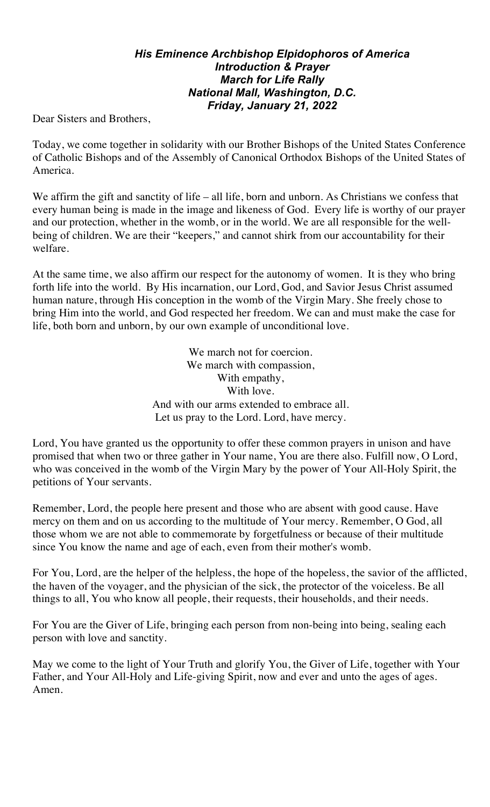### *His Eminence Archbishop Elpidophoros of America Introduction & Prayer March for Life Rally National Mall, Washington, D.C. Friday, January 21, 2022*

Dear Sisters and Brothers,

Today, we come together in solidarity with our Brother Bishops of the United States Conference of Catholic Bishops and of the Assembly of Canonical Orthodox Bishops of the United States of America.

We affirm the gift and sanctity of life – all life, born and unborn. As Christians we confess that every human being is made in the image and likeness of God. Every life is worthy of our prayer and our protection, whether in the womb, or in the world. We are all responsible for the wellbeing of children. We are their "keepers," and cannot shirk from our accountability for their welfare.

At the same time, we also affirm our respect for the autonomy of women. It is they who bring forth life into the world. By His incarnation, our Lord, God, and Savior Jesus Christ assumed human nature, through His conception in the womb of the Virgin Mary. She freely chose to bring Him into the world, and God respected her freedom. We can and must make the case for life, both born and unborn, by our own example of unconditional love.

> We march not for coercion. We march with compassion, With empathy, With love. And with our arms extended to embrace all. Let us pray to the Lord. Lord, have mercy.

Lord, You have granted us the opportunity to offer these common prayers in unison and have promised that when two or three gather in Your name, You are there also. Fulfill now, O Lord, who was conceived in the womb of the Virgin Mary by the power of Your All-Holy Spirit, the petitions of Your servants.

Remember, Lord, the people here present and those who are absent with good cause. Have mercy on them and on us according to the multitude of Your mercy. Remember, O God, all those whom we are not able to commemorate by forgetfulness or because of their multitude since You know the name and age of each, even from their mother's womb.

For You, Lord, are the helper of the helpless, the hope of the hopeless, the savior of the afflicted, the haven of the voyager, and the physician of the sick, the protector of the voiceless. Be all things to all, You who know all people, their requests, their households, and their needs.

For You are the Giver of Life, bringing each person from non-being into being, sealing each person with love and sanctity.

May we come to the light of Your Truth and glorify You, the Giver of Life, together with Your Father, and Your All-Holy and Life-giving Spirit, now and ever and unto the ages of ages. Amen.